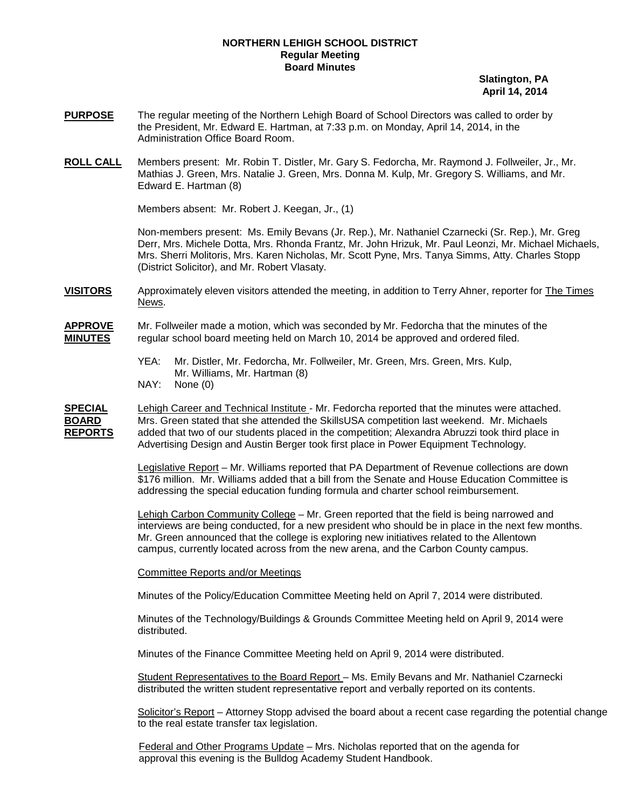## **NORTHERN LEHIGH SCHOOL DISTRICT Regular Meeting Board Minutes**

 **Slatington, PA April 14, 2014**

- **PURPOSE** The regular meeting of the Northern Lehigh Board of School Directors was called to order by the President, Mr. Edward E. Hartman, at 7:33 p.m. on Monday, April 14, 2014, in the Administration Office Board Room.
- **ROLL CALL** Members present: Mr. Robin T. Distler, Mr. Gary S. Fedorcha, Mr. Raymond J. Follweiler, Jr., Mr. Mathias J. Green, Mrs. Natalie J. Green, Mrs. Donna M. Kulp, Mr. Gregory S. Williams, and Mr. Edward E. Hartman (8)

Members absent: Mr. Robert J. Keegan, Jr., (1)

Non-members present: Ms. Emily Bevans (Jr. Rep.), Mr. Nathaniel Czarnecki (Sr. Rep.), Mr. Greg Derr, Mrs. Michele Dotta, Mrs. Rhonda Frantz, Mr. John Hrizuk, Mr. Paul Leonzi, Mr. Michael Michaels, Mrs. Sherri Molitoris, Mrs. Karen Nicholas, Mr. Scott Pyne, Mrs. Tanya Simms, Atty. Charles Stopp (District Solicitor), and Mr. Robert Vlasaty.

**VISITORS** Approximately eleven visitors attended the meeting, in addition to Terry Ahner, reporter for The Times News.

**APPROVE** Mr. Follweiler made a motion, which was seconded by Mr. Fedorcha that the minutes of the **MINUTES** regular school board meeting held on March 10, 2014 be approved and ordered filed.

- YEA: Mr. Distler, Mr. Fedorcha, Mr. Follweiler, Mr. Green, Mrs. Green, Mrs. Kulp, Mr. Williams, Mr. Hartman (8)
- NAY: None (0)

**SPECIAL** Lehigh Career and Technical Institute - Mr. Fedorcha reported that the minutes were attached. **BOARD** Mrs. Green stated that she attended the SkillsUSA competition last weekend. Mr. Michaels **REPORTS** Advertising Design and Austin Berger took first place in Power Equipment Technology. added that two of our students placed in the competition; Alexandra Abruzzi took third place in

> Legislative Report – Mr. Williams reported that PA Department of Revenue collections are down \$176 million. Mr. Williams added that a bill from the Senate and House Education Committee is addressing the special education funding formula and charter school reimbursement.

Lehigh Carbon Community College – Mr. Green reported that the field is being narrowed and Mr. Green announced that the college is exploring new initiatives related to the Allentown campus, currently located across from the new arena, and the Carbon County campus. interviews are being conducted, for a new president who should be in place in the next few months.

Committee Reports and/or Meetings

Minutes of the Policy/Education Committee Meeting held on April 7, 2014 were distributed.

Minutes of the Technology/Buildings & Grounds Committee Meeting held on April 9, 2014 were distributed.

Minutes of the Finance Committee Meeting held on April 9, 2014 were distributed.

Student Representatives to the Board Report – Ms. Emily Bevans and Mr. Nathaniel Czarnecki distributed the written student representative report and verbally reported on its contents.

Solicitor's Report – Attorney Stopp advised the board about a recent case regarding the potential change to the real estate transfer tax legislation.

Federal and Other Programs Update – Mrs. Nicholas reported that on the agenda for approval this evening is the Bulldog Academy Student Handbook.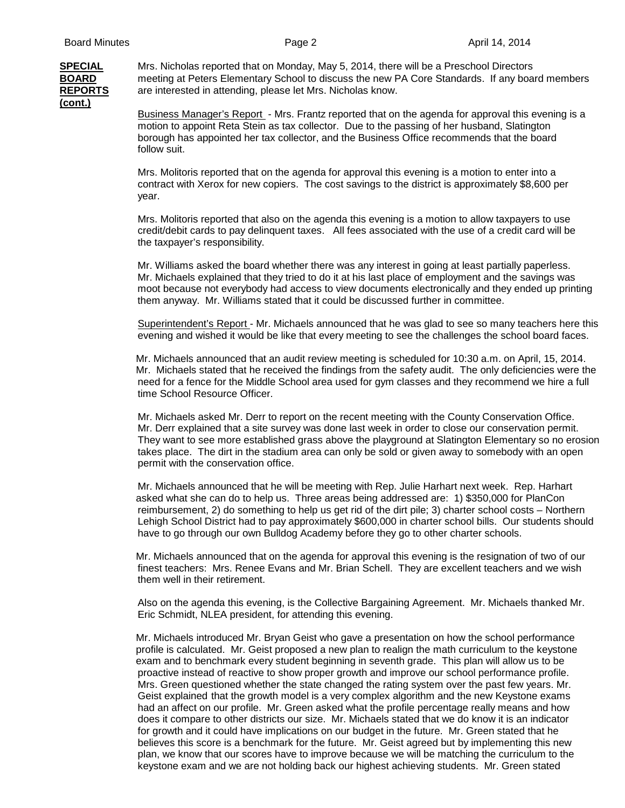## **(cont.)**

**SPECIAL** Mrs. Nicholas reported that on Monday, May 5, 2014, there will be a Preschool Directors **BOARD** meeting at Peters Elementary School to discuss the new PA Core Standards. If any board members **REPORTS** are interested in attending, please let Mrs. Nicholas know.

> Business Manager's Report - Mrs. Frantz reported that on the agenda for approval this evening is a motion to appoint Reta Stein as tax collector. Due to the passing of her husband, Slatington borough has appointed her tax collector, and the Business Office recommends that the board follow suit.

Mrs. Molitoris reported that on the agenda for approval this evening is a motion to enter into a contract with Xerox for new copiers. The cost savings to the district is approximately \$8,600 per year.

Mrs. Molitoris reported that also on the agenda this evening is a motion to allow taxpayers to use credit/debit cards to pay delinquent taxes. All fees associated with the use of a credit card will be the taxpayer's responsibility.

Mr. Williams asked the board whether there was any interest in going at least partially paperless. Mr. Michaels explained that they tried to do it at his last place of employment and the savings was moot because not everybody had access to view documents electronically and they ended up printing them anyway. Mr. Williams stated that it could be discussed further in committee.

Superintendent's Report - Mr. Michaels announced that he was glad to see so many teachers here this evening and wished it would be like that every meeting to see the challenges the school board faces.

Mr. Michaels announced that an audit review meeting is scheduled for 10:30 a.m. on April, 15, 2014. Mr. Michaels stated that he received the findings from the safety audit. The only deficiencies were the need for a fence for the Middle School area used for gym classes and they recommend we hire a full time School Resource Officer.

Mr. Michaels asked Mr. Derr to report on the recent meeting with the County Conservation Office. Mr. Derr explained that a site survey was done last week in order to close our conservation permit. They want to see more established grass above the playground at Slatington Elementary so no erosion takes place. The dirt in the stadium area can only be sold or given away to somebody with an open permit with the conservation office.

Mr. Michaels announced that he will be meeting with Rep. Julie Harhart next week. Rep. Harhart asked what she can do to help us. Three areas being addressed are: 1) \$350,000 for PlanCon reimbursement, 2) do something to help us get rid of the dirt pile; 3) charter school costs – Northern Lehigh School District had to pay approximately \$600,000 in charter school bills. Our students should have to go through our own Bulldog Academy before they go to other charter schools.

Mr. Michaels announced that on the agenda for approval this evening is the resignation of two of our finest teachers: Mrs. Renee Evans and Mr. Brian Schell. They are excellent teachers and we wish them well in their retirement.

Also on the agenda this evening, is the Collective Bargaining Agreement. Mr. Michaels thanked Mr. Eric Schmidt, NLEA president, for attending this evening.

Mr. Michaels introduced Mr. Bryan Geist who gave a presentation on how the school performance profile is calculated. Mr. Geist proposed a new plan to realign the math curriculum to the keystone exam and to benchmark every student beginning in seventh grade. This plan will allow us to be proactive instead of reactive to show proper growth and improve our school performance profile. Mrs. Green questioned whether the state changed the rating system over the past few years. Mr. Geist explained that the growth model is a very complex algorithm and the new Keystone exams had an affect on our profile. Mr. Green asked what the profile percentage really means and how does it compare to other districts our size. Mr. Michaels stated that we do know it is an indicator for growth and it could have implications on our budget in the future. Mr. Green stated that he believes this score is a benchmark for the future. Mr. Geist agreed but by implementing this new plan, we know that our scores have to improve because we will be matching the curriculum to the keystone exam and we are not holding back our highest achieving students. Mr. Green stated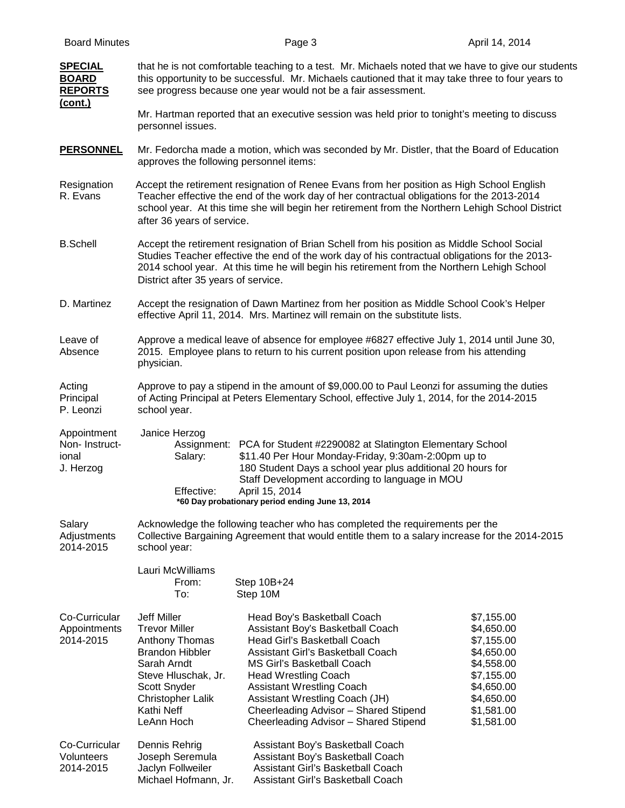| <u>SPECIAL</u><br><b>BOARD</b><br><b>REPORTS</b><br><u>(cont.)</u> | that he is not comfortable teaching to a test. Mr. Michaels noted that we have to give our students<br>this opportunity to be successful. Mr. Michaels cautioned that it may take three to four years to<br>see progress because one year would not be a fair assessment.                                                           |                                                                                                                                                                                                                                                                                                                                                           |                                                                                                                                          |  |
|--------------------------------------------------------------------|-------------------------------------------------------------------------------------------------------------------------------------------------------------------------------------------------------------------------------------------------------------------------------------------------------------------------------------|-----------------------------------------------------------------------------------------------------------------------------------------------------------------------------------------------------------------------------------------------------------------------------------------------------------------------------------------------------------|------------------------------------------------------------------------------------------------------------------------------------------|--|
|                                                                    | Mr. Hartman reported that an executive session was held prior to tonight's meeting to discuss<br>personnel issues.                                                                                                                                                                                                                  |                                                                                                                                                                                                                                                                                                                                                           |                                                                                                                                          |  |
| <b>PERSONNEL</b>                                                   | Mr. Fedorcha made a motion, which was seconded by Mr. Distler, that the Board of Education<br>approves the following personnel items:                                                                                                                                                                                               |                                                                                                                                                                                                                                                                                                                                                           |                                                                                                                                          |  |
| Resignation<br>R. Evans                                            | Accept the retirement resignation of Renee Evans from her position as High School English<br>Teacher effective the end of the work day of her contractual obligations for the 2013-2014<br>school year. At this time she will begin her retirement from the Northern Lehigh School District<br>after 36 years of service.           |                                                                                                                                                                                                                                                                                                                                                           |                                                                                                                                          |  |
| <b>B.Schell</b>                                                    | Accept the retirement resignation of Brian Schell from his position as Middle School Social<br>Studies Teacher effective the end of the work day of his contractual obligations for the 2013-<br>2014 school year. At this time he will begin his retirement from the Northern Lehigh School<br>District after 35 years of service. |                                                                                                                                                                                                                                                                                                                                                           |                                                                                                                                          |  |
| D. Martinez                                                        | Accept the resignation of Dawn Martinez from her position as Middle School Cook's Helper<br>effective April 11, 2014. Mrs. Martinez will remain on the substitute lists.                                                                                                                                                            |                                                                                                                                                                                                                                                                                                                                                           |                                                                                                                                          |  |
| Leave of<br>Absence                                                | Approve a medical leave of absence for employee #6827 effective July 1, 2014 until June 30,<br>2015. Employee plans to return to his current position upon release from his attending<br>physician.                                                                                                                                 |                                                                                                                                                                                                                                                                                                                                                           |                                                                                                                                          |  |
| Acting<br>Principal<br>P. Leonzi                                   | Approve to pay a stipend in the amount of \$9,000.00 to Paul Leonzi for assuming the duties<br>of Acting Principal at Peters Elementary School, effective July 1, 2014, for the 2014-2015<br>school year.                                                                                                                           |                                                                                                                                                                                                                                                                                                                                                           |                                                                                                                                          |  |
| Appointment<br>Non-Instruct-<br>ional<br>J. Herzog                 | Janice Herzog<br>Salary:<br>Effective:                                                                                                                                                                                                                                                                                              | Assignment: PCA for Student #2290082 at Slatington Elementary School<br>\$11.40 Per Hour Monday-Friday, 9:30am-2:00pm up to<br>180 Student Days a school year plus additional 20 hours for<br>Staff Development according to language in MOU<br>April 15, 2014<br>*60 Day probationary period ending June 13, 2014                                        |                                                                                                                                          |  |
| Salary<br>Adjustments<br>2014-2015                                 | Acknowledge the following teacher who has completed the requirements per the<br>Collective Bargaining Agreement that would entitle them to a salary increase for the 2014-2015<br>school year:                                                                                                                                      |                                                                                                                                                                                                                                                                                                                                                           |                                                                                                                                          |  |
|                                                                    | Lauri McWilliams<br>From:<br>To:                                                                                                                                                                                                                                                                                                    | Step 10B+24<br>Step 10M                                                                                                                                                                                                                                                                                                                                   |                                                                                                                                          |  |
| Co-Curricular<br>Appointments<br>2014-2015                         | <b>Jeff Miller</b><br><b>Trevor Miller</b><br>Anthony Thomas<br><b>Brandon Hibbler</b><br>Sarah Arndt<br>Steve Hluschak, Jr.<br>Scott Snyder<br>Christopher Lalik<br>Kathi Neff<br>LeAnn Hoch                                                                                                                                       | Head Boy's Basketball Coach<br>Assistant Boy's Basketball Coach<br>Head Girl's Basketball Coach<br>Assistant Girl's Basketball Coach<br>MS Girl's Basketball Coach<br><b>Head Wrestling Coach</b><br><b>Assistant Wrestling Coach</b><br>Assistant Wrestling Coach (JH)<br>Cheerleading Advisor - Shared Stipend<br>Cheerleading Advisor - Shared Stipend | \$7,155.00<br>\$4,650.00<br>\$7,155.00<br>\$4,650.00<br>\$4,558.00<br>\$7,155.00<br>\$4,650.00<br>\$4,650.00<br>\$1,581.00<br>\$1,581.00 |  |
| Co-Curricular<br>Volunteers<br>2014-2015                           | Dennis Rehrig<br>Joseph Seremula<br>Jaclyn Follweiler<br>Michael Hofmann, Jr.                                                                                                                                                                                                                                                       | Assistant Boy's Basketball Coach<br>Assistant Boy's Basketball Coach<br>Assistant Girl's Basketball Coach<br>Assistant Girl's Basketball Coach                                                                                                                                                                                                            |                                                                                                                                          |  |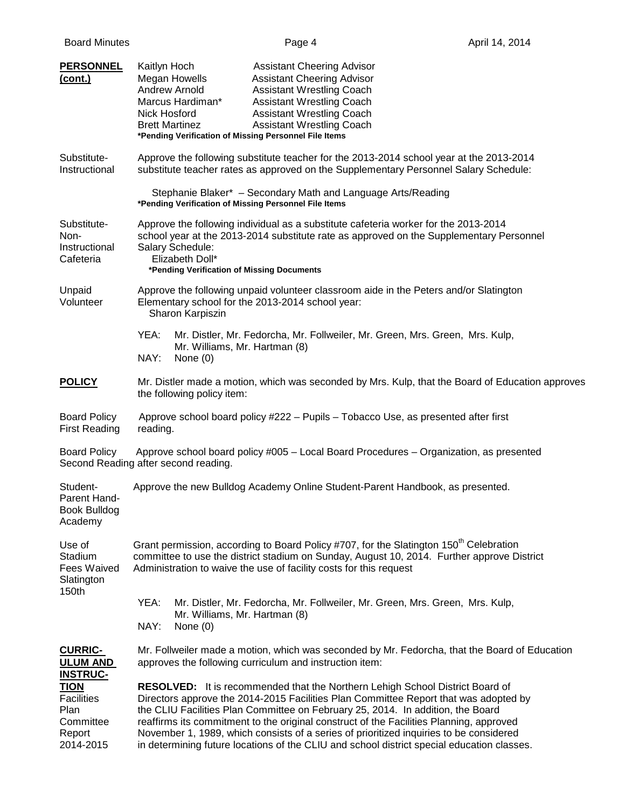| <b>PERSONNEL</b><br>(cont.)                                                  | Kaitlyn Hoch<br><b>Assistant Cheering Advisor</b><br><b>Megan Howells</b><br><b>Assistant Cheering Advisor</b><br><b>Andrew Arnold</b><br><b>Assistant Wrestling Coach</b><br>Marcus Hardiman*<br><b>Assistant Wrestling Coach</b><br>Nick Hosford<br><b>Assistant Wrestling Coach</b><br><b>Assistant Wrestling Coach</b><br><b>Brett Martinez</b><br>*Pending Verification of Missing Personnel File Items                                                                                                                                       |  |  |  |
|------------------------------------------------------------------------------|----------------------------------------------------------------------------------------------------------------------------------------------------------------------------------------------------------------------------------------------------------------------------------------------------------------------------------------------------------------------------------------------------------------------------------------------------------------------------------------------------------------------------------------------------|--|--|--|
| Substitute-<br>Instructional                                                 | Approve the following substitute teacher for the 2013-2014 school year at the 2013-2014<br>substitute teacher rates as approved on the Supplementary Personnel Salary Schedule:                                                                                                                                                                                                                                                                                                                                                                    |  |  |  |
|                                                                              | Stephanie Blaker* - Secondary Math and Language Arts/Reading<br>*Pending Verification of Missing Personnel File Items                                                                                                                                                                                                                                                                                                                                                                                                                              |  |  |  |
| Substitute-<br>Non-<br>Instructional<br>Cafeteria                            | Approve the following individual as a substitute cafeteria worker for the 2013-2014<br>school year at the 2013-2014 substitute rate as approved on the Supplementary Personnel<br>Salary Schedule:<br>Elizabeth Doll*<br>*Pending Verification of Missing Documents                                                                                                                                                                                                                                                                                |  |  |  |
| Unpaid<br>Volunteer                                                          | Approve the following unpaid volunteer classroom aide in the Peters and/or Slatington<br>Elementary school for the 2013-2014 school year:<br>Sharon Karpiszin                                                                                                                                                                                                                                                                                                                                                                                      |  |  |  |
|                                                                              | YEA:<br>Mr. Distler, Mr. Fedorcha, Mr. Follweiler, Mr. Green, Mrs. Green, Mrs. Kulp,<br>Mr. Williams, Mr. Hartman (8)<br>NAY:<br>None $(0)$                                                                                                                                                                                                                                                                                                                                                                                                        |  |  |  |
| <b>POLICY</b>                                                                | Mr. Distler made a motion, which was seconded by Mrs. Kulp, that the Board of Education approves<br>the following policy item:                                                                                                                                                                                                                                                                                                                                                                                                                     |  |  |  |
| <b>Board Policy</b><br><b>First Reading</b>                                  | Approve school board policy #222 - Pupils - Tobacco Use, as presented after first<br>reading.                                                                                                                                                                                                                                                                                                                                                                                                                                                      |  |  |  |
| <b>Board Policy</b>                                                          | Approve school board policy #005 - Local Board Procedures - Organization, as presented<br>Second Reading after second reading.                                                                                                                                                                                                                                                                                                                                                                                                                     |  |  |  |
| Student-<br>Parent Hand-<br><b>Book Bulldog</b><br>Academy                   | Approve the new Bulldog Academy Online Student-Parent Handbook, as presented.                                                                                                                                                                                                                                                                                                                                                                                                                                                                      |  |  |  |
| Use of<br>Stadium<br><b>Fees Waived</b><br>Slatington<br>150th               | Grant permission, according to Board Policy #707, for the Slatington 150 <sup>th</sup> Celebration<br>committee to use the district stadium on Sunday, August 10, 2014. Further approve District<br>Administration to waive the use of facility costs for this request                                                                                                                                                                                                                                                                             |  |  |  |
|                                                                              | YEA:<br>Mr. Distler, Mr. Fedorcha, Mr. Follweiler, Mr. Green, Mrs. Green, Mrs. Kulp,<br>Mr. Williams, Mr. Hartman (8)<br>NAY:<br>None $(0)$                                                                                                                                                                                                                                                                                                                                                                                                        |  |  |  |
| <b>CURRIC-</b><br><b>ULUM AND</b><br><b>INSTRUC-</b>                         | Mr. Follweiler made a motion, which was seconded by Mr. Fedorcha, that the Board of Education<br>approves the following curriculum and instruction item:                                                                                                                                                                                                                                                                                                                                                                                           |  |  |  |
| <b>TION</b><br><b>Facilities</b><br>Plan<br>Committee<br>Report<br>2014-2015 | <b>RESOLVED:</b> It is recommended that the Northern Lehigh School District Board of<br>Directors approve the 2014-2015 Facilities Plan Committee Report that was adopted by<br>the CLIU Facilities Plan Committee on February 25, 2014. In addition, the Board<br>reaffirms its commitment to the original construct of the Facilities Planning, approved<br>November 1, 1989, which consists of a series of prioritized inquiries to be considered<br>in determining future locations of the CLIU and school district special education classes. |  |  |  |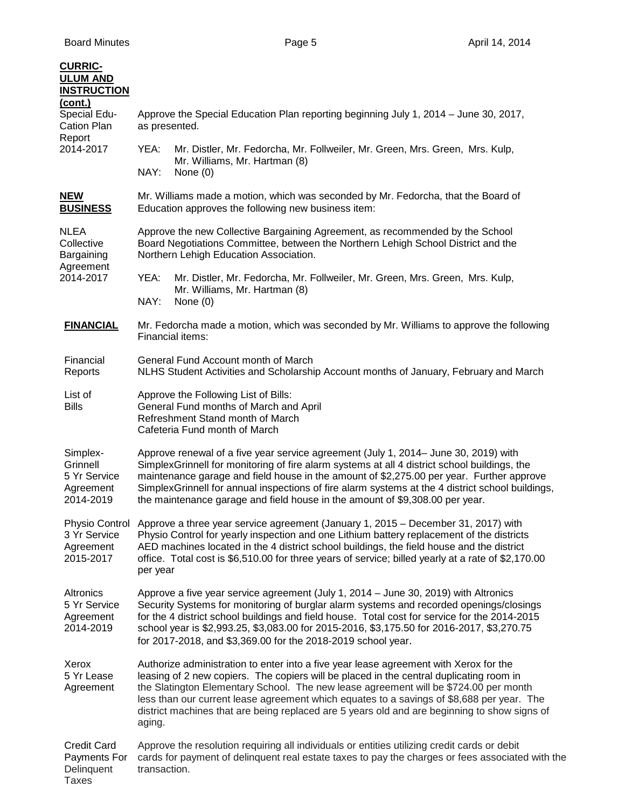| <b>CURRIC-</b><br><b>ULUM AND</b><br><b>INSTRUCTION</b>          |                                                                                                                                                                                                                                                                                                                                                                                                                                                                                 |  |  |  |
|------------------------------------------------------------------|---------------------------------------------------------------------------------------------------------------------------------------------------------------------------------------------------------------------------------------------------------------------------------------------------------------------------------------------------------------------------------------------------------------------------------------------------------------------------------|--|--|--|
| (cont.)<br>Special Edu-<br>Cation Plan                           | Approve the Special Education Plan reporting beginning July 1, 2014 - June 30, 2017,<br>as presented.                                                                                                                                                                                                                                                                                                                                                                           |  |  |  |
| Report<br>2014-2017                                              | YEA:<br>Mr. Distler, Mr. Fedorcha, Mr. Follweiler, Mr. Green, Mrs. Green, Mrs. Kulp,<br>Mr. Williams, Mr. Hartman (8)<br>NAY:<br>None $(0)$                                                                                                                                                                                                                                                                                                                                     |  |  |  |
| <b>NEW</b><br><b>BUSINESS</b>                                    | Mr. Williams made a motion, which was seconded by Mr. Fedorcha, that the Board of<br>Education approves the following new business item:                                                                                                                                                                                                                                                                                                                                        |  |  |  |
| NLEA<br>Collective<br>Bargaining<br>Agreement<br>2014-2017       | Approve the new Collective Bargaining Agreement, as recommended by the School<br>Board Negotiations Committee, between the Northern Lehigh School District and the<br>Northern Lehigh Education Association.                                                                                                                                                                                                                                                                    |  |  |  |
|                                                                  | YEA:<br>Mr. Distler, Mr. Fedorcha, Mr. Follweiler, Mr. Green, Mrs. Green, Mrs. Kulp,<br>Mr. Williams, Mr. Hartman (8)<br>NAY:<br>None $(0)$                                                                                                                                                                                                                                                                                                                                     |  |  |  |
| <b>FINANCIAL</b>                                                 | Mr. Fedorcha made a motion, which was seconded by Mr. Williams to approve the following<br>Financial items:                                                                                                                                                                                                                                                                                                                                                                     |  |  |  |
| Financial<br>Reports                                             | General Fund Account month of March<br>NLHS Student Activities and Scholarship Account months of January, February and March                                                                                                                                                                                                                                                                                                                                                    |  |  |  |
| List of<br><b>Bills</b>                                          | Approve the Following List of Bills:<br>General Fund months of March and April<br>Refreshment Stand month of March<br>Cafeteria Fund month of March                                                                                                                                                                                                                                                                                                                             |  |  |  |
| Simplex-<br>Grinnell<br>5 Yr Service<br>Agreement<br>2014-2019   | Approve renewal of a five year service agreement (July 1, 2014– June 30, 2019) with<br>SimplexGrinnell for monitoring of fire alarm systems at all 4 district school buildings, the<br>maintenance garage and field house in the amount of \$2,275.00 per year. Further approve<br>SimplexGrinnell for annual inspections of fire alarm systems at the 4 district school buildings,<br>the maintenance garage and field house in the amount of \$9,308.00 per year.             |  |  |  |
| Physio Control<br>3 Yr Service<br>Agreement<br>2015-2017         | Approve a three year service agreement (January 1, 2015 – December 31, 2017) with<br>Physio Control for yearly inspection and one Lithium battery replacement of the districts<br>AED machines located in the 4 district school buildings, the field house and the district<br>office. Total cost is \$6,510.00 for three years of service; billed yearly at a rate of \$2,170.00<br>per year                                                                                   |  |  |  |
| Altronics<br>5 Yr Service<br>Agreement<br>2014-2019              | Approve a five year service agreement (July 1, 2014 - June 30, 2019) with Altronics<br>Security Systems for monitoring of burglar alarm systems and recorded openings/closings<br>for the 4 district school buildings and field house. Total cost for service for the 2014-2015<br>school year is \$2,993.25, \$3,083.00 for 2015-2016, \$3,175.50 for 2016-2017, \$3,270.75<br>for 2017-2018, and \$3,369.00 for the 2018-2019 school year.                                    |  |  |  |
| Xerox<br>5 Yr Lease<br>Agreement                                 | Authorize administration to enter into a five year lease agreement with Xerox for the<br>leasing of 2 new copiers. The copiers will be placed in the central duplicating room in<br>the Slatington Elementary School. The new lease agreement will be \$724.00 per month<br>less than our current lease agreement which equates to a savings of \$8,688 per year. The<br>district machines that are being replaced are 5 years old and are beginning to show signs of<br>aging. |  |  |  |
| <b>Credit Card</b><br>Payments For<br>Delinquent<br><b>Taxes</b> | Approve the resolution requiring all individuals or entities utilizing credit cards or debit<br>cards for payment of delinquent real estate taxes to pay the charges or fees associated with the<br>transaction.                                                                                                                                                                                                                                                                |  |  |  |